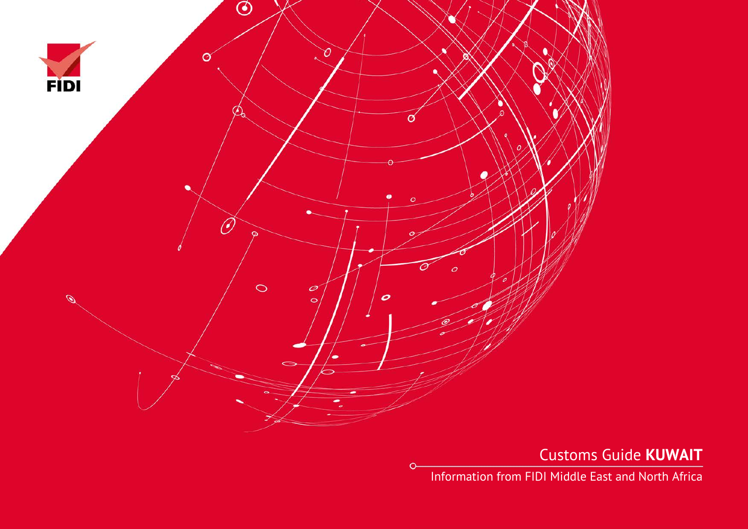

 $\circ$ 

Customs Guide **KUWAIT**

Information from FIDI Middle East and North Africa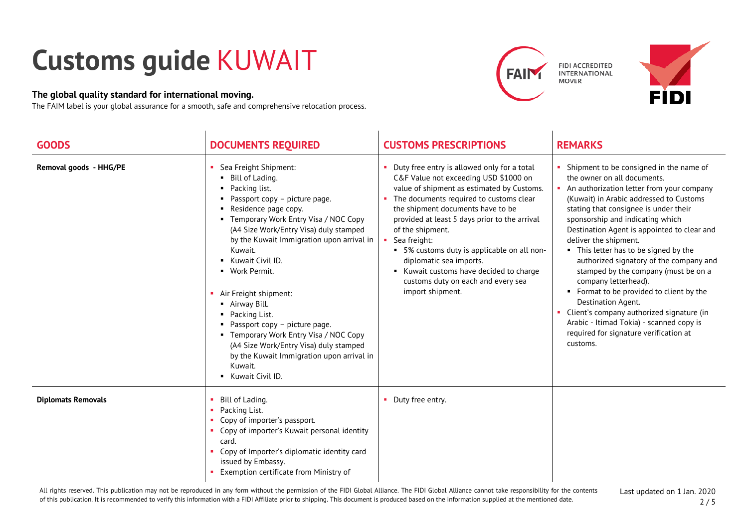## **Customs guide** KUWAIT

## **The global quality standard for international moving.**

The FAIM label is your global assurance for a smooth, safe and comprehensive relocation process.







| <b>GOODS</b>              | <b>DOCUMENTS REQUIRED</b>                                                                                                                                                                                                                                                                                                                                                                                                                                                                                                                                                     | <b>CUSTOMS PRESCRIPTIONS</b>                                                                                                                                                                                                                                                                                                                                                                                                                                                           | <b>REMARKS</b>                                                                                                                                                                                                                                                                                                                                                                                                                                                                                                                                                                                                                                                                               |
|---------------------------|-------------------------------------------------------------------------------------------------------------------------------------------------------------------------------------------------------------------------------------------------------------------------------------------------------------------------------------------------------------------------------------------------------------------------------------------------------------------------------------------------------------------------------------------------------------------------------|----------------------------------------------------------------------------------------------------------------------------------------------------------------------------------------------------------------------------------------------------------------------------------------------------------------------------------------------------------------------------------------------------------------------------------------------------------------------------------------|----------------------------------------------------------------------------------------------------------------------------------------------------------------------------------------------------------------------------------------------------------------------------------------------------------------------------------------------------------------------------------------------------------------------------------------------------------------------------------------------------------------------------------------------------------------------------------------------------------------------------------------------------------------------------------------------|
| Removal goods - HHG/PE    | Sea Freight Shipment:<br>• Bill of Lading.<br>• Packing list.<br>• Passport copy - picture page.<br>• Residence page copy.<br>• Temporary Work Entry Visa / NOC Copy<br>(A4 Size Work/Entry Visa) duly stamped<br>by the Kuwait Immigration upon arrival in<br>Kuwait.<br>Kuwait Civil ID.<br>• Work Permit.<br>Air Freight shipment:<br>• Airway Bill.<br>• Packing List.<br>• Passport copy - picture page.<br>• Temporary Work Entry Visa / NOC Copy<br>(A4 Size Work/Entry Visa) duly stamped<br>by the Kuwait Immigration upon arrival in<br>Kuwait.<br>Kuwait Civil ID. | • Duty free entry is allowed only for a total<br>C&F Value not exceeding USD \$1000 on<br>value of shipment as estimated by Customs.<br>The documents required to customs clear<br>the shipment documents have to be<br>provided at least 5 days prior to the arrival<br>of the shipment.<br>Sea freight:<br>• 5% customs duty is applicable on all non-<br>diplomatic sea imports.<br>Kuwait customs have decided to charge<br>customs duty on each and every sea<br>import shipment. | Shipment to be consigned in the name of<br>the owner on all documents.<br>• An authorization letter from your company<br>(Kuwait) in Arabic addressed to Customs<br>stating that consignee is under their<br>sponsorship and indicating which<br>Destination Agent is appointed to clear and<br>deliver the shipment.<br>• This letter has to be signed by the<br>authorized signatory of the company and<br>stamped by the company (must be on a<br>company letterhead).<br>• Format to be provided to client by the<br>Destination Agent.<br>• Client's company authorized signature (in<br>Arabic - Itimad Tokia) - scanned copy is<br>required for signature verification at<br>customs. |
| <b>Diplomats Removals</b> | Bill of Lading.<br>Packing List.<br>٠<br>Copy of importer's passport.<br><b>CO</b><br>• Copy of importer's Kuwait personal identity<br>card.<br>Copy of Importer's diplomatic identity card<br>issued by Embassy.<br>Exemption certificate from Ministry of                                                                                                                                                                                                                                                                                                                   | • Duty free entry.                                                                                                                                                                                                                                                                                                                                                                                                                                                                     |                                                                                                                                                                                                                                                                                                                                                                                                                                                                                                                                                                                                                                                                                              |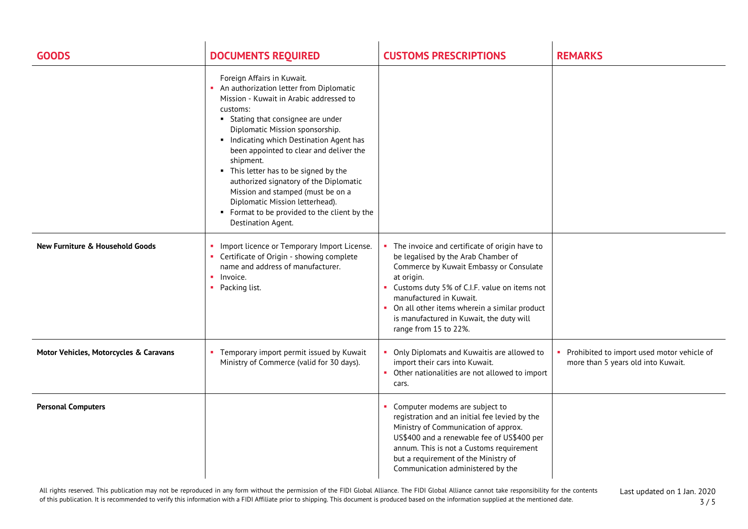| <b>GOODS</b>                               | <b>DOCUMENTS REQUIRED</b>                                                                                                                                                                                                                                                                                                                                                                                                                                                                                                                | <b>CUSTOMS PRESCRIPTIONS</b>                                                                                                                                                                                                                                                                                                                    | <b>REMARKS</b>                                                                   |
|--------------------------------------------|------------------------------------------------------------------------------------------------------------------------------------------------------------------------------------------------------------------------------------------------------------------------------------------------------------------------------------------------------------------------------------------------------------------------------------------------------------------------------------------------------------------------------------------|-------------------------------------------------------------------------------------------------------------------------------------------------------------------------------------------------------------------------------------------------------------------------------------------------------------------------------------------------|----------------------------------------------------------------------------------|
|                                            | Foreign Affairs in Kuwait.<br>An authorization letter from Diplomatic<br>Mission - Kuwait in Arabic addressed to<br>customs:<br>• Stating that consignee are under<br>Diplomatic Mission sponsorship.<br>Indicating which Destination Agent has<br>been appointed to clear and deliver the<br>shipment.<br>• This letter has to be signed by the<br>authorized signatory of the Diplomatic<br>Mission and stamped (must be on a<br>Diplomatic Mission letterhead).<br>• Format to be provided to the client by the<br>Destination Agent. |                                                                                                                                                                                                                                                                                                                                                 |                                                                                  |
| <b>New Furniture &amp; Household Goods</b> | Import licence or Temporary Import License.<br>Certificate of Origin - showing complete<br>name and address of manufacturer.<br>$\blacksquare$ Invoice.<br>• Packing list.                                                                                                                                                                                                                                                                                                                                                               | The invoice and certificate of origin have to<br>be legalised by the Arab Chamber of<br>Commerce by Kuwait Embassy or Consulate<br>at origin.<br>Customs duty 5% of C.I.F. value on items not<br>manufactured in Kuwait.<br>• On all other items wherein a similar product<br>is manufactured in Kuwait, the duty will<br>range from 15 to 22%. |                                                                                  |
| Motor Vehicles, Motorcycles & Caravans     | Temporary import permit issued by Kuwait<br>Ministry of Commerce (valid for 30 days).                                                                                                                                                                                                                                                                                                                                                                                                                                                    | Only Diplomats and Kuwaitis are allowed to<br>import their cars into Kuwait.<br>• Other nationalities are not allowed to import<br>cars.                                                                                                                                                                                                        | Prohibited to import used motor vehicle of<br>more than 5 years old into Kuwait. |
| <b>Personal Computers</b>                  |                                                                                                                                                                                                                                                                                                                                                                                                                                                                                                                                          | • Computer modems are subject to<br>registration and an initial fee levied by the<br>Ministry of Communication of approx.<br>US\$400 and a renewable fee of US\$400 per<br>annum. This is not a Customs requirement<br>but a requirement of the Ministry of<br>Communication administered by the                                                |                                                                                  |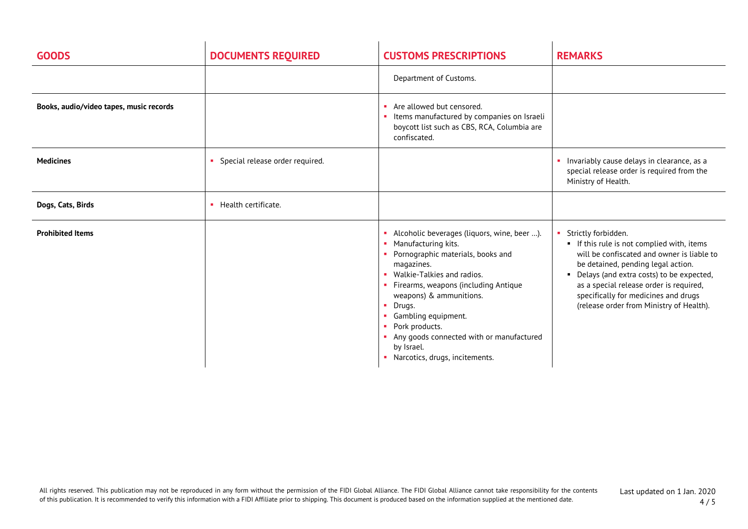| <b>GOODS</b>                            | <b>DOCUMENTS REQUIRED</b>       | <b>CUSTOMS PRESCRIPTIONS</b>                                                                                                                                                                                                                                                                                                                                                            | <b>REMARKS</b>                                                                                                                                                                                                                                                                                                                   |
|-----------------------------------------|---------------------------------|-----------------------------------------------------------------------------------------------------------------------------------------------------------------------------------------------------------------------------------------------------------------------------------------------------------------------------------------------------------------------------------------|----------------------------------------------------------------------------------------------------------------------------------------------------------------------------------------------------------------------------------------------------------------------------------------------------------------------------------|
|                                         |                                 | Department of Customs.                                                                                                                                                                                                                                                                                                                                                                  |                                                                                                                                                                                                                                                                                                                                  |
| Books, audio/video tapes, music records |                                 | • Are allowed but censored.<br>Items manufactured by companies on Israeli<br>boycott list such as CBS, RCA, Columbia are<br>confiscated.                                                                                                                                                                                                                                                |                                                                                                                                                                                                                                                                                                                                  |
| <b>Medicines</b>                        | Special release order required. |                                                                                                                                                                                                                                                                                                                                                                                         | • Invariably cause delays in clearance, as a<br>special release order is required from the<br>Ministry of Health.                                                                                                                                                                                                                |
| Dogs, Cats, Birds                       | Health certificate.             |                                                                                                                                                                                                                                                                                                                                                                                         |                                                                                                                                                                                                                                                                                                                                  |
| <b>Prohibited Items</b>                 |                                 | • Alcoholic beverages (liquors, wine, beer ).<br>• Manufacturing kits.<br>• Pornographic materials, books and<br>magazines.<br>• Walkie-Talkies and radios.<br>• Firearms, weapons (including Antique<br>weapons) & ammunitions.<br>• Drugs.<br>• Gambling equipment.<br>• Pork products.<br>Any goods connected with or manufactured<br>by Israel.<br>• Narcotics, drugs, incitements. | Strictly forbidden.<br>If this rule is not complied with, items<br>will be confiscated and owner is liable to<br>be detained, pending legal action.<br>• Delays (and extra costs) to be expected,<br>as a special release order is required,<br>specifically for medicines and drugs<br>(release order from Ministry of Health). |